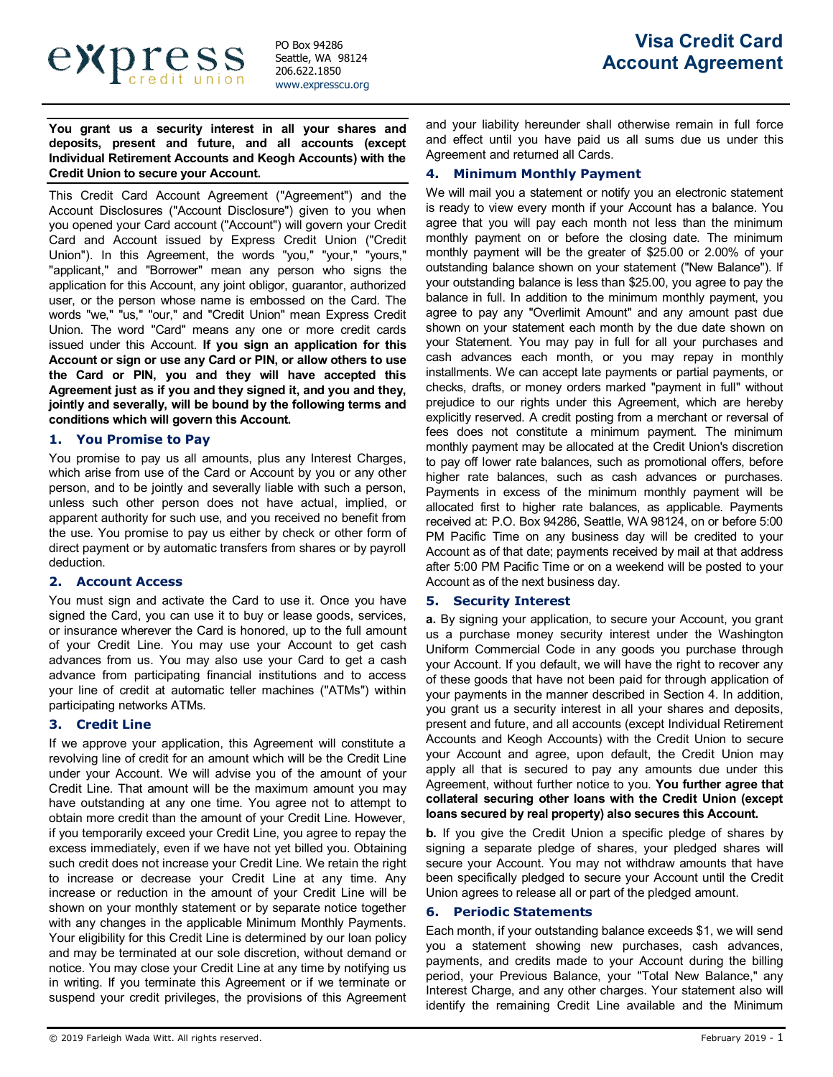

**You grant us a security interest in all your shares and deposits, present and future, and all accounts (except Individual Retirement Accounts and Keogh Accounts) with the Credit Union to secure your Account.**

This Credit Card Account Agreement ("Agreement") and the Account Disclosures ("Account Disclosure") given to you when you opened your Card account ("Account") will govern your Credit Card and Account issued by Express Credit Union ("Credit Union"). In this Agreement, the words "you," "your," "yours," "applicant," and "Borrower" mean any person who signs the application for this Account, any joint obligor, guarantor, authorized user, or the person whose name is embossed on the Card. The words "we," "us," "our," and "Credit Union" mean Express Credit Union. The word "Card" means any one or more credit cards issued under this Account. **If you sign an application for this Account or sign or use any Card or PIN, or allow others to use the Card or PIN, you and they will have accepted this Agreement just as if you and they signed it, and you and they, jointly and severally, will be bound by the following terms and conditions which will govern this Account.**

### **1. You Promise to Pay**

You promise to pay us all amounts, plus any Interest Charges, which arise from use of the Card or Account by you or any other person, and to be jointly and severally liable with such a person, unless such other person does not have actual, implied, or apparent authority for such use, and you received no benefit from the use. You promise to pay us either by check or other form of direct payment or by automatic transfers from shares or by payroll deduction.

## **2. Account Access**

You must sign and activate the Card to use it. Once you have signed the Card, you can use it to buy or lease goods, services, or insurance wherever the Card is honored, up to the full amount of your Credit Line. You may use your Account to get cash advances from us. You may also use your Card to get a cash advance from participating financial institutions and to access your line of credit at automatic teller machines ("ATMs") within participating networks ATMs.

# **3. Credit Line**

If we approve your application, this Agreement will constitute a revolving line of credit for an amount which will be the Credit Line under your Account. We will advise you of the amount of your Credit Line. That amount will be the maximum amount you may have outstanding at any one time. You agree not to attempt to obtain more credit than the amount of your Credit Line. However, if you temporarily exceed your Credit Line, you agree to repay the excess immediately, even if we have not yet billed you. Obtaining such credit does not increase your Credit Line. We retain the right to increase or decrease your Credit Line at any time. Any increase or reduction in the amount of your Credit Line will be shown on your monthly statement or by separate notice together with any changes in the applicable Minimum Monthly Payments. Your eligibility for this Credit Line is determined by our loan policy and may be terminated at our sole discretion, without demand or notice. You may close your Credit Line at any time by notifying us in writing. If you terminate this Agreement or if we terminate or suspend your credit privileges, the provisions of this Agreement and your liability hereunder shall otherwise remain in full force and effect until you have paid us all sums due us under this Agreement and returned all Cards.

## **4. Minimum Monthly Payment**

We will mail you a statement or notify you an electronic statement is ready to view every month if your Account has a balance. You agree that you will pay each month not less than the minimum monthly payment on or before the closing date. The minimum monthly payment will be the greater of \$25.00 or 2.00% of your outstanding balance shown on your statement ("New Balance"). If your outstanding balance is less than \$25.00, you agree to pay the balance in full. In addition to the minimum monthly payment, you agree to pay any "Overlimit Amount" and any amount past due shown on your statement each month by the due date shown on your Statement. You may pay in full for all your purchases and cash advances each month, or you may repay in monthly installments. We can accept late payments or partial payments, or checks, drafts, or money orders marked "payment in full" without prejudice to our rights under this Agreement, which are hereby explicitly reserved. A credit posting from a merchant or reversal of fees does not constitute a minimum payment. The minimum monthly payment may be allocated at the Credit Union's discretion to pay off lower rate balances, such as promotional offers, before higher rate balances, such as cash advances or purchases. Payments in excess of the minimum monthly payment will be allocated first to higher rate balances, as applicable. Payments received at: P.O. Box 94286, Seattle, WA 98124, on or before 5:00 PM Pacific Time on any business day will be credited to your Account as of that date; payments received by mail at that address after 5:00 PM Pacific Time or on a weekend will be posted to your Account as of the next business day.

# **5. Security Interest**

**a.** By signing your application, to secure your Account, you grant us a purchase money security interest under the Washington Uniform Commercial Code in any goods you purchase through your Account. If you default, we will have the right to recover any of these goods that have not been paid for through application of your payments in the manner described in Section 4. In addition, you grant us a security interest in all your shares and deposits, present and future, and all accounts (except Individual Retirement Accounts and Keogh Accounts) with the Credit Union to secure your Account and agree, upon default, the Credit Union may apply all that is secured to pay any amounts due under this Agreement, without further notice to you. **You further agree that collateral securing other loans with the Credit Union (except loans secured by real property) also secures this Account.**

**b.** If you give the Credit Union a specific pledge of shares by signing a separate pledge of shares, your pledged shares will secure your Account. You may not withdraw amounts that have been specifically pledged to secure your Account until the Credit Union agrees to release all or part of the pledged amount.

## **6. Periodic Statements**

Each month, if your outstanding balance exceeds \$1, we will send you a statement showing new purchases, cash advances, payments, and credits made to your Account during the billing period, your Previous Balance, your "Total New Balance," any Interest Charge, and any other charges. Your statement also will identify the remaining Credit Line available and the Minimum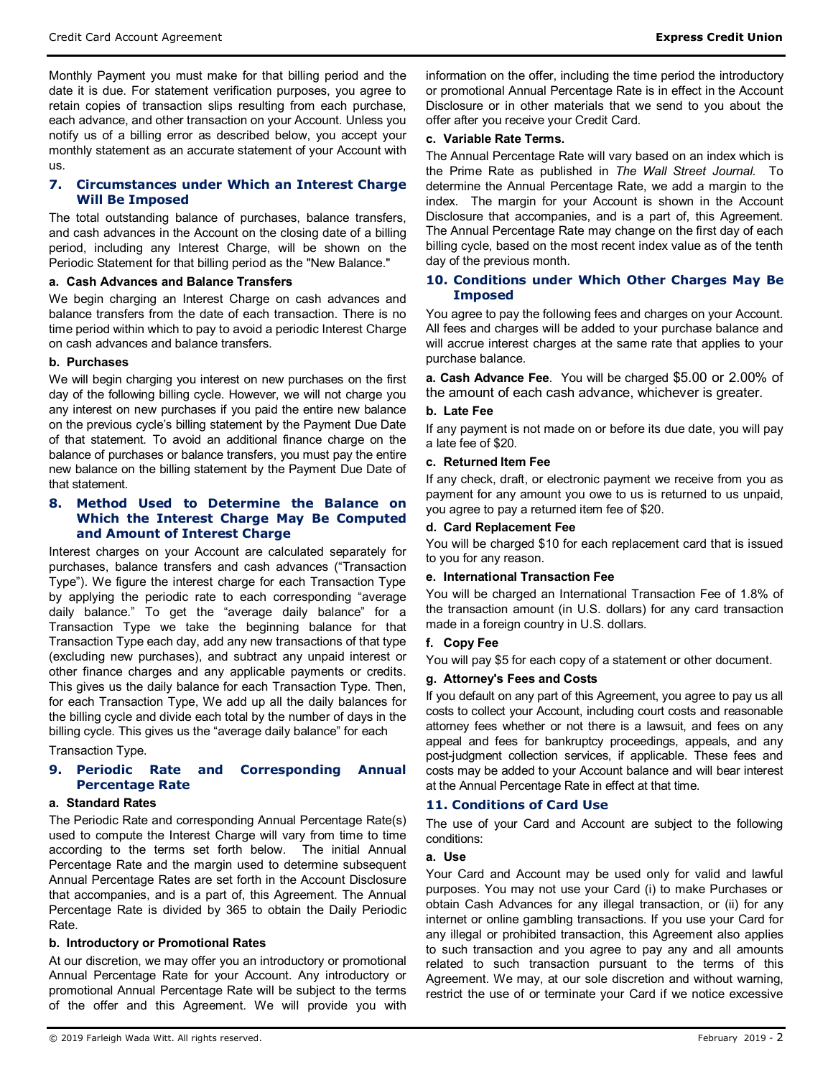Monthly Payment you must make for that billing period and the date it is due. For statement verification purposes, you agree to retain copies of transaction slips resulting from each purchase, each advance, and other transaction on your Account. Unless you notify us of a billing error as described below, you accept your monthly statement as an accurate statement of your Account with us.

# **7. Circumstances under Which an Interest Charge Will Be Imposed**

The total outstanding balance of purchases, balance transfers, and cash advances in the Account on the closing date of a billing period, including any Interest Charge, will be shown on the Periodic Statement for that billing period as the "New Balance."

## **a. Cash Advances and Balance Transfers**

We begin charging an Interest Charge on cash advances and balance transfers from the date of each transaction. There is no time period within which to pay to avoid a periodic Interest Charge on cash advances and balance transfers.

## **b. Purchases**

We will begin charging you interest on new purchases on the first day of the following billing cycle. However, we will not charge you any interest on new purchases if you paid the entire new balance on the previous cycle's billing statement by the Payment Due Date of that statement. To avoid an additional finance charge on the balance of purchases or balance transfers, you must pay the entire new balance on the billing statement by the Payment Due Date of that statement.

## **8. Method Used to Determine the Balance on Which the Interest Charge May Be Computed and Amount of Interest Charge**

Interest charges on your Account are calculated separately for purchases, balance transfers and cash advances ("Transaction Type"). We figure the interest charge for each Transaction Type by applying the periodic rate to each corresponding "average daily balance." To get the "average daily balance" for a Transaction Type we take the beginning balance for that Transaction Type each day, add any new transactions of that type (excluding new purchases), and subtract any unpaid interest or other finance charges and any applicable payments or credits. This gives us the daily balance for each Transaction Type. Then, for each Transaction Type, We add up all the daily balances for the billing cycle and divide each total by the number of days in the billing cycle. This gives us the "average daily balance" for each

Transaction Type.

# **9. Periodic Rate and Corresponding Annual Percentage Rate**

## **a. Standard Rates**

The Periodic Rate and corresponding Annual Percentage Rate(s) used to compute the Interest Charge will vary from time to time according to the terms set forth below. The initial Annual Percentage Rate and the margin used to determine subsequent Annual Percentage Rates are set forth in the Account Disclosure that accompanies, and is a part of, this Agreement. The Annual Percentage Rate is divided by 365 to obtain the Daily Periodic Rate.

## **b. Introductory or Promotional Rates**

At our discretion, we may offer you an introductory or promotional Annual Percentage Rate for your Account. Any introductory or promotional Annual Percentage Rate will be subject to the terms of the offer and this Agreement. We will provide you with information on the offer, including the time period the introductory or promotional Annual Percentage Rate is in effect in the Account Disclosure or in other materials that we send to you about the offer after you receive your Credit Card.

### **c. Variable Rate Terms.**

The Annual Percentage Rate will vary based on an index which is the Prime Rate as published in *The Wall Street Journal*. To determine the Annual Percentage Rate, we add a margin to the index. The margin for your Account is shown in the Account Disclosure that accompanies, and is a part of, this Agreement. The Annual Percentage Rate may change on the first day of each billing cycle, based on the most recent index value as of the tenth day of the previous month.

## **10. Conditions under Which Other Charges May Be Imposed**

You agree to pay the following fees and charges on your Account. All fees and charges will be added to your purchase balance and will accrue interest charges at the same rate that applies to your purchase balance.

**a. Cash Advance Fee**. You will be charged \$5.00 or 2.00% of the amount of each cash advance, whichever is greater.

### **b. Late Fee**

If any payment is not made on or before its due date, you will pay a late fee of \$20.

### **c. Returned Item Fee**

If any check, draft, or electronic payment we receive from you as payment for any amount you owe to us is returned to us unpaid, you agree to pay a returned item fee of \$20.

### **d. Card Replacement Fee**

You will be charged \$10 for each replacement card that is issued to you for any reason.

## **e. International Transaction Fee**

You will be charged an International Transaction Fee of 1.8% of the transaction amount (in U.S. dollars) for any card transaction made in a foreign country in U.S. dollars.

## **f. Copy Fee**

You will pay \$5 for each copy of a statement or other document.

## **g. Attorney's Fees and Costs**

If you default on any part of this Agreement, you agree to pay us all costs to collect your Account, including court costs and reasonable attorney fees whether or not there is a lawsuit, and fees on any appeal and fees for bankruptcy proceedings, appeals, and any post-judgment collection services, if applicable. These fees and costs may be added to your Account balance and will bear interest at the Annual Percentage Rate in effect at that time.

## **11. Conditions of Card Use**

The use of your Card and Account are subject to the following conditions:

## **a. Use**

Your Card and Account may be used only for valid and lawful purposes. You may not use your Card (i) to make Purchases or obtain Cash Advances for any illegal transaction, or (ii) for any internet or online gambling transactions. If you use your Card for any illegal or prohibited transaction, this Agreement also applies to such transaction and you agree to pay any and all amounts related to such transaction pursuant to the terms of this Agreement. We may, at our sole discretion and without warning, restrict the use of or terminate your Card if we notice excessive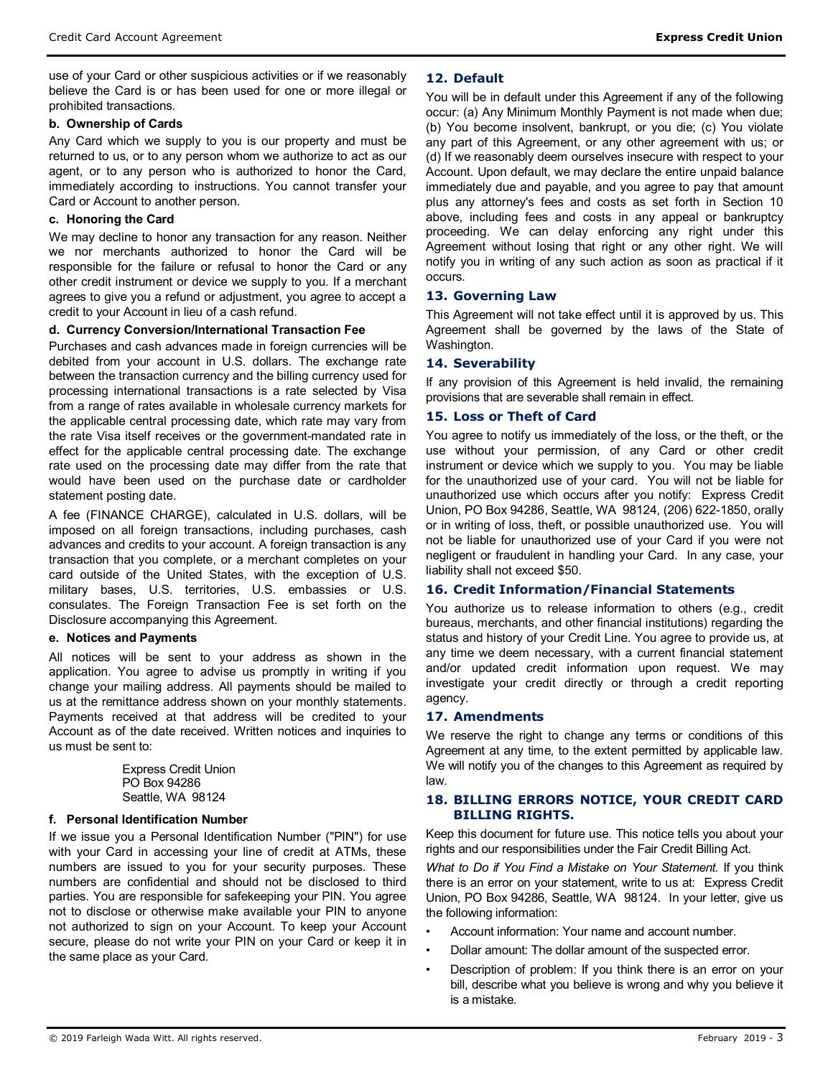use of your Card or other suspicious activities or if we reasonably believe the Card is or has been used for one or more illegal or prohibited transactions.

## **b. Ownership of Cards**

Any Card which we supply to you is our property and must be returned to us, or to any person whom we authorize to act as our agent, or to any person who is authorized to honor the Card, immediately according to instructions. You cannot transfer your Card or Account to another person.

### **c. Honoring the Card**

We may decline to honor any transaction for any reason. Neither we nor merchants authorized to honor the Card will be responsible for the failure or refusal to honor the Card or any other credit instrument or device we supply to you. If a merchant agrees to give you a refund or adjustment, you agree to accept a credit to your Account in lieu of a cash refund.

### **d. Currency Conversion/International Transaction Fee**

Purchases and cash advances made in foreign currencies will be debited from your account in U.S. dollars. The exchange rate between the transaction currency and the billing currency used for processing international transactions is a rate selected by Visa from a range of rates available in wholesale currency markets for the applicable central processing date, which rate may vary from the rate Visa itself receives or the government-mandated rate in effect for the applicable central processing date. The exchange rate used on the processing date may differ from the rate that would have been used on the purchase date or cardholder statement posting date.

A fee (FINANCE CHARGE), calculated in U.S. dollars, will be imposed on all foreign transactions, including purchases, cash advances and credits to your account. A foreign transaction is any transaction that you complete, or a merchant completes on your card outside of the United States, with the exception of U.S. military bases, U.S. territories, U.S. embassies or U.S. consulates. The Foreign Transaction Fee is set forth on the Disclosure accompanying this Agreement.

## **e. Notices and Payments**

All notices will be sent to your address as shown in the application. You agree to advise us promptly in writing if you change your mailing address. All payments should be mailed to us at the remittance address shown on your monthly statements. Payments received at that address will be credited to your Account as of the date received. Written notices and inquiries to us must be sent to:

> Express Credit Union PO Box 94286 Seattle, WA 98124

## **f. Personal Identification Number**

If we issue you a Personal Identification Number ("PIN") for use with your Card in accessing your line of credit at ATMs, these numbers are issued to you for your security purposes. These numbers are confidential and should not be disclosed to third parties. You are responsible for safekeeping your PIN. You agree not to disclose or otherwise make available your PIN to anyone not authorized to sign on your Account. To keep your Account secure, please do not write your PIN on your Card or keep it in the same place as your Card.

## **12. Default**

You will be in default under this Agreement if any of the following occur: (a) Any Minimum Monthly Payment is not made when due; (b) You become insolvent, bankrupt, or you die; (c) You violate any part of this Agreement, or any other agreement with us; or (d) If we reasonably deem ourselves insecure with respect to your Account. Upon default, we may declare the entire unpaid balance immediately due and payable, and you agree to pay that amount plus any attorney's fees and costs as set forth in Section 10 above, including fees and costs in any appeal or bankruptcy proceeding. We can delay enforcing any right under this Agreement without losing that right or any other right. We will notify you in writing of any such action as soon as practical if it occurs.

## **13. Governing Law**

This Agreement will not take effect until it is approved by us. This Agreement shall be governed by the laws of the State of Washington.

## **14. Severability**

If any provision of this Agreement is held invalid, the remaining provisions that are severable shall remain in effect.

## **15. Loss or Theft of Card**

You agree to notify us immediately of the loss, or the theft, or the use without your permission, of any Card or other credit instrument or device which we supply to you. You may be liable for the unauthorized use of your card. You will not be liable for unauthorized use which occurs after you notify: Express Credit Union, PO Box 94286, Seattle, WA 98124, (206) 622-1850, orally or in writing of loss, theft, or possible unauthorized use. You will not be liable for unauthorized use of your Card if you were not negligent or fraudulent in handling your Card. In any case, your liability shall not exceed \$50.

## **16. Credit Information/Financial Statements**

You authorize us to release information to others (e.g., credit bureaus, merchants, and other financial institutions) regarding the status and history of your Credit Line. You agree to provide us, at any time we deem necessary, with a current financial statement and/or updated credit information upon request. We may investigate your credit directly or through a credit reporting agency.

#### **17. Amendments**

We reserve the right to change any terms or conditions of this Agreement at any time, to the extent permitted by applicable law. We will notify you of the changes to this Agreement as required by law.

# **18. BILLING ERRORS NOTICE, YOUR CREDIT CARD BILLING RIGHTS.**

Keep this document for future use. This notice tells you about your rights and our responsibilities under the Fair Credit Billing Act.

*What to Do if You Find a Mistake on Your Statement.* If you think there is an error on your statement, write to us at: Express Credit Union, PO Box 94286, Seattle, WA 98124. In your letter, give us the following information:

- Account information: Your name and account number.
- Dollar amount: The dollar amount of the suspected error.
- Description of problem: If you think there is an error on your bill, describe what you believe is wrong and why you believe it is a mistake.